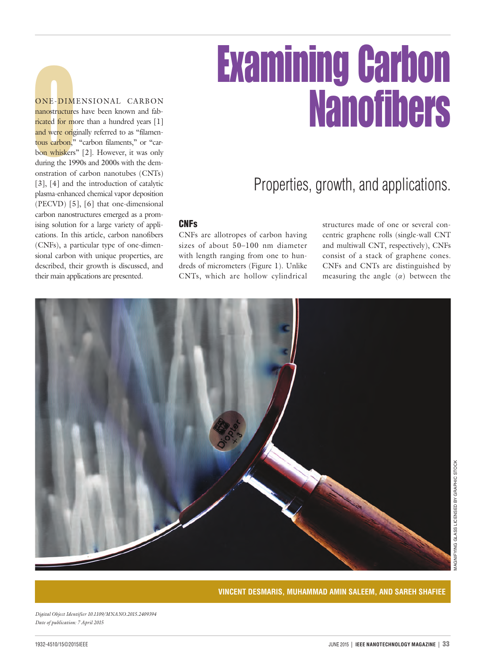# Examining Carbon ONE-DIMENSIONAL CARBON<br>
manostructures have been known and fabricated for more than a hundred years [1]

## Properties, growth, and applications.

#### **CNFs**

CNFs are allotropes of carbon having sizes of about 50–100 nm diameter with length ranging from one to hundreds of micrometers (Figure 1). Unlike CNTs, which are hollow cylindrical structures made of one or several concentric graphene rolls (single-wall CNT and multiwall CNT, respectively), CNFs consist of a stack of graphene cones. CNFs and CNTs are distinguished by measuring the angle  $(\alpha)$  between the



#### **Vincent DESMARIS, Muhammad Amin SALEEM, AND Sareh SHAFIEE**

*Digital Object Identifier 10.1109/MNANO.2015.2409394 Date of publication: 7 April 2015*

ONE-DIM<br>nanostructure<br>ricated for m<br>and were orig<br>tous carbon,"<br>bon whiskers<br>during the 19

nanostructures have been known and fabricated for more than a hundred years [1] and were originally referred to as "filamentous carbon," "carbon filaments," or "carbon whiskers" [2]. However, it was only during the 1990s and 2000s with the demonstration of carbon nanotubes (CNTs) [3], [4] and the introduction of catalytic plasma-enhanced chemical vapor deposition (PECVD) [5], [6] that one-dimensional carbon nanostructures emerged as a promising solution for a large variety of applications. In this article, carbon nanofibers (CNFs), a particular type of one-dimensional carbon with unique properties, are described, their growth is discussed, and their main applications are presented.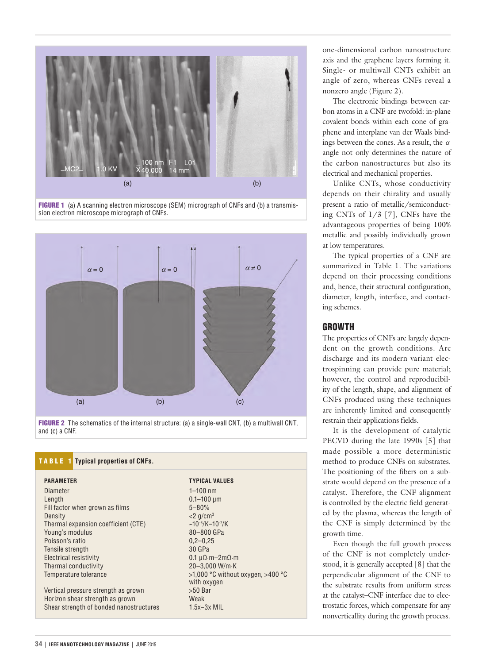

FIGURE 1 (a) A scanning electron microscope (SEM) micrograph of CNFs and (b) a transmission electron microscope micrograph of CNFs.





| <b>TABLE 1 Typical properties of CNFs.</b> |                                                  |
|--------------------------------------------|--------------------------------------------------|
| <b>PARAMETER</b>                           | <b>TYPICAL VALUES</b>                            |
| Diameter                                   | $1 - 100$ nm                                     |
| Length                                     | $0.1 - 100 \mu m$                                |
| Fill factor when grown as films            | $5 - 80%$                                        |
| Density                                    | $<$ 2 g/cm <sup>3</sup>                          |
| Thermal expansion coefficient (CTE)        | $~10^{-6}$ /K-10 <sup>-7</sup> /K                |
| Young's modulus                            | 80-800 GPa                                       |
| Poisson's ratio                            | $0,2-0,25$                                       |
| Tensile strength                           | 30 GPa                                           |
| Electrical resistivity                     | $0.1 \mu\Omega \cdot m - 2m\Omega \cdot m$       |
| Thermal conductivity                       | $20 - 3.000$ W/m $\cdot$ K                       |
| Temperature tolerance                      | >1,000 °C without oxygen, >400 °C<br>with oxygen |
| Vertical pressure strength as grown        | $>50$ Bar                                        |
| Horizon shear strength as grown            | Weak                                             |
| Shear strength of bonded nanostructures    | $1.5x-3x$ MIL                                    |

one-dimensional carbon nanostructure axis and the graphene layers forming it. Single- or multiwall CNTs exhibit an angle of zero, whereas CNFs reveal a nonzero angle (Figure 2).

The electronic bindings between carbon atoms in a CNF are twofold: in-plane covalent bonds within each cone of graphene and interplane van der Waals bindings between the cones. As a result, the *a* angle not only determines the nature of the carbon nanostructures but also its electrical and mechanical properties.

Unlike CNTs, whose conductivity depends on their chirality and usually present a ratio of metallic/semiconducting CNTs of 1/3 [7], CNFs have the advantageous properties of being 100% metallic and possibly individually grown at low temperatures.

The typical properties of a CNF are summarized in Table 1. The variations depend on their processing conditions and, hence, their structural configuration, diameter, length, interface, and contacting schemes.

#### **GROWTH**

The properties of CNFs are largely dependent on the growth conditions. Arc discharge and its modern variant electrospinning can provide pure material; however, the control and reproducibility of the length, shape, and alignment of CN Fs produced using these techniques are inherently limited and consequently restrain their applications fields.

It is the development of catalytic PECVD during the late 1990s [5] that made possible a more deterministic method to produce CNFs on substrates. The positioning of the fibers on a substrate would depend on the presence of a catalyst. Therefore, the CNF alignment is controlled by the electric field generated by the plasma, whereas the length of the CNF is simply determined by the growth time.

Even though the full growth process of the CNF is not completely understood, it is generally accepted [8] that the perpendicular alignment of the CNF to the substrate results from uniform stress at the catalyst–CNF interface due to electrostatic forces, which compensate for any nonverticallity during the growth process.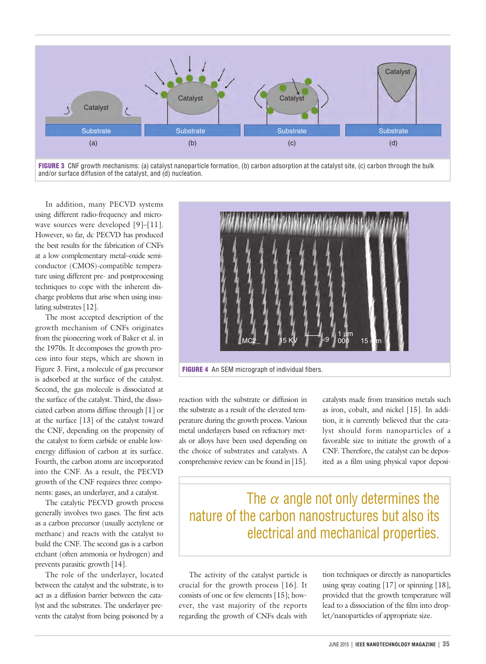

FIGURE 3 CNF growth mechanisms: (a) catalyst nanoparticle formation, (b) carbon adsorption at the catalyst site, (c) carbon through the bulk and/or surface diffusion of the catalyst, and (d) nucleation.

In addition, many PECVD systems using different radio-frequency and microwave sources were developed [9]-[11]. However, so far, dc PECVD has produced the best results for the fabrication of CNFs at a low complementary metal–oxide semiconductor (CMOS)-compatible temperature using different pre- and postprocessing techniques to cope with the inherent discharge problems that arise when using insulating substrates [12].

The most accepted description of the growth mechanism of CNFs originates from the pioneering work of Baker et al. in the 1970s. It decomposes the growth process into four steps, which are shown in Figure 3. First, a molecule of gas precursor is adsorbed at the surface of the catalyst. Second, the gas molecule is dissociated at the surface of the catalyst. Third, the dissociated carbon atoms diffuse through [1] or at the surface [13] of the catalyst toward the CNF, depending on the propensity of the catalyst to form carbide or enable lowenergy diffusion of carbon at its surface. Fourth, the carbon atoms are incorporated into the CNF. As a result, the PECVD growth of the CNF requires three components: gases, an underlayer, and a catalyst.

The catalytic PECVD growth process generally involves two gases. The first acts as a carbon precursor (usually acetylene or methane) and reacts with the catalyst to build the CNF. The second gas is a carbon etchant (often ammonia or hydrogen) and prevents parasitic growth [14].

The role of the underlayer, located between the catalyst and the substrate, is to act as a diffusion barrier between the catalyst and the substrates. The underlayer prevents the catalyst from being poisoned by a



FIGURE 4 An SEM micrograph of individual fibers.

reaction with the substrate or diffusion in the substrate as a result of the elevated temperature during the growth process. Various metal underlayers based on refractory metals or alloys have been used depending on the choice of substrates and catalysts. A comprehensive review can be found in [15].

catalysts made from transition metals such as iron, cobalt, and nickel [15]. In addition, it is currently believed that the catalyst should form nanoparticles of a favorable size to initiate the growth of a CNF. Therefore, the catalyst can be deposited as a film using physical vapor deposi-

### The  $\alpha$  angle not only determines the nature of the carbon nanostructures but also its electrical and mechanical properties.

The activity of the catalyst particle is crucial for the growth process [16]. It consists of one or few elements [15]; however, the vast majority of the reports regarding the growth of CNFs deals with

tion techniques or directly as nanoparticles using spray coating [17] or spinning [18], provided that the growth temperature will lead to a dissociation of the film into droplet/nanoparticles of appropriate size.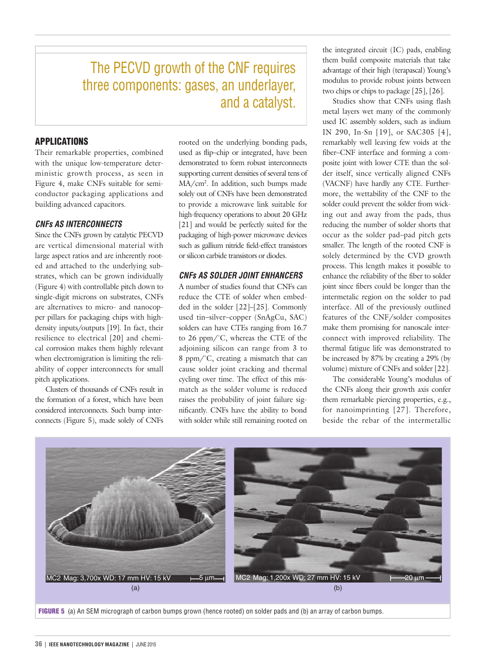The PECVD growth of the CNF requires three components: gases, an underlayer, and a catalyst.

#### **APPLICATIONS**

Their remarkable properties, combined with the unique low-temperature deterministic growth process, as seen in Figure 4, make CNFs suitable for semiconductor packaging applications and building advanced capacitors.

#### *CNFs AS INTERCONNECTS*

Since the CNFs grown by catalytic PECVD are vertical dimensional material with large aspect ratios and are inherently rooted and attached to the underlying substrates, which can be grown individually (Figure 4) with controllable pitch down to single-digit microns on substrates, CNFs are alternatives to micro- and nanocopper pillars for packaging chips with highdensity inputs/outputs [19]. In fact, their resilience to electrical [20] and chemical corrosion makes them highly relevant when electromigration is limiting the reliability of copper interconnects for small pitch applications.

Clusters of thousands of CNFs result in the formation of a forest, which have been considered interconnects. Such bump interconnects (Figure 5), made solely of CNFs

rooted on the underlying bonding pads, used as flip–chip or integrated, have been demonstrated to form robust interconnects supporting current densities of several tens of MA/cm2 . In addition, such bumps made solely out of CNFs have been demonstrated to provide a microwave link suitable for high-frequency operations to about 20 GHz [21] and would be perfectly suited for the packaging of high-power microwave devices such as gallium nitride field-effect transistors or silicon carbide transistors or diodes.

#### *CNFs AS SOLDER JOINT ENHANCERS*

A number of studies found that CNFs can reduce the CTE of solder when embedded in the solder [22]–[25]. Commonly used tin–silver–copper (SnAgCu, SAC) solders can have CTEs ranging from 16.7 to 26 ppm/˚C, whereas the CTE of the adjoining silicon can range from 3 to 8 ppm/˚C, creating a mismatch that can cause solder joint cracking and thermal cycling over time. The effect of this mismatch as the solder volume is reduced raises the probability of joint failure significantly. CNFs have the ability to bond with solder while still remaining rooted on

the integrated circuit (IC) pads, enabling them build composite materials that take advantage of their high (terapascal) Young's modulus to provide robust joints between two chips or chips to package [25], [26].

Studies show that CNFs using flash metal layers wet many of the commonly used IC assembly solders, such as indium IN 290, In-Sn [19], or SAC305 [4], remarkably well leaving few voids at the fiber–CNF interface and forming a composite joint with lower CTE than the solder itself, since vertically aligned CNFs (VACNF) have hardly any CTE. Furthermore, the wettability of the CNF to the solder could prevent the solder from wicking out and away from the pads, thus reducing the number of solder shorts that occur as the solder pad–pad pitch gets smaller. The length of the rooted CNF is solely determined by the CVD growth process. This length makes it possible to enhance the reliability of the fiber to solder joint since fibers could be longer than the intermetalic region on the solder to pad interface. All of the previously outlined features of the CNF/solder composites make them promising for nanoscale interconnect with improved reliability. The thermal fatigue life was demonstrated to be increased by 87% by creating a 29% (by volume) mixture of CNFs and solder [22].

The considerable Young's modulus of the CNFs along their growth axis confer them remarkable piercing properties, e.g., for nanoimprinting [27]. Therefore, beside the rebar of the intermetallic



FIGURE 5 (a) An SEM micrograph of carbon bumps grown (hence rooted) on solder pads and (b) an array of carbon bumps.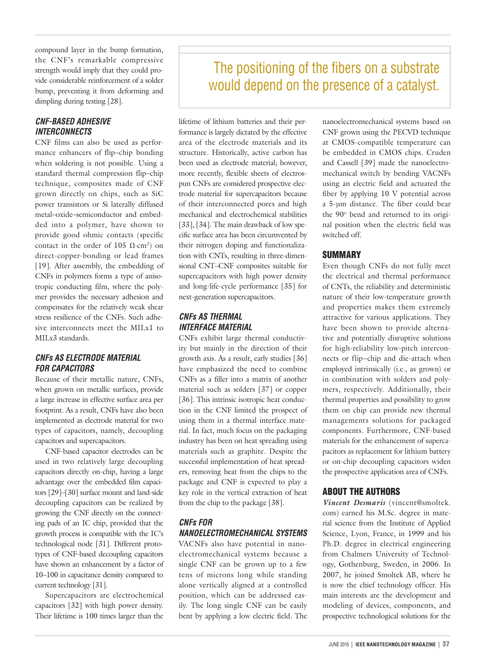compound layer in the bump formation, the CNF's remarkable compressive strength would imply that they could provide considerable reinforcement of a solder bump, preventing it from deforming and dimpling during testing [28].

#### *CNF-BASED ADHESIVE INTERCONNECTS*

CNF films can also be used as performance enhancers of flip–chip bonding when soldering is not possible. Using a standard thermal compression flip–chip technique, composites made of CNF grown directly on chips, such as SiC power transistors or Si laterally diffused metal–oxide–semiconductor and embedded into a polymer, have shown to provide good ohmic contacts (specific contact in the order of 105  $Ω·cm²$ ) on direct-copper-bonding or lead frames [19]. After assembly, the embedding of CNFs in polymers forms a type of anisotropic conducting film, where the polymer provides the necessary adhesion and compensates for the relatively weak shear stress resilience of the CNFs. Such adhesive interconnects meet the MILx1 to MILx3 standards.

#### *CNFs AS ELECTRODE MATERIAL FOR CAPACITORS*

Because of their metallic nature, CNFs, when grown on metallic surfaces, provide a large increase in effective surface area per footprint. As a result, CNFs have also been implemented as electrode material for two types of capacitors, namely, decoupling capacitors and supercapacitors.

CNF-based capacitor electrodes can be used in two relatively large decoupling capacitors directly on-chip, having a large advantage over the embedded film capacitors [29]–[30] surface mount and land-side decoupling capacitors can be realized by growing the CNF directly on the connecting pads of an IC chip, provided that the growth process is compatible with the IC's technological node [31]. Different prototypes of CNF-based decoupling capacitors have shown an enhancement by a factor of 10–100 in capacitance density compared to current technology [31].

Supercapacitors are electrochemical capacitors [32] with high power density. Their lifetime is 100 times larger than the

## The positioning of the fibers on a substrate would depend on the presence of a catalyst.

lifetime of lithium batteries and their performance is largely dictated by the effective area of the electrode materials and its structure. Historically, active carbon has been used as electrode material; however, more recently, flexible sheets of electrospun CNFs are considered prospective electrode material for supercapacitors because of their interconnected pores and high mechanical and electrochemical stabilities [33], [34]. The main drawback of low specific surface area has been circumvented by their nitrogen doping and functionalization with CNTs, resulting in three-dimensional CNT–CNF composites suitable for supercapacitors with high power density and long-life-cycle performance [35] for next-generation supercapacitors.

#### *CNFs AS THERMAL INTERFACE MATERIAL*

CNFs exhibit large thermal conductivity but mainly in the direction of their growth axis. As a result, early studies [36] have emphasized the need to combine CNFs as a filler into a matrix of another material such as solders [37] or copper [36]. This intrinsic isotropic heat conduction in the CNF limited the prospect of using them in a thermal interface material. In fact, much focus on the packaging industry has been on heat spreading using materials such as graphite. Despite the successful implementation of heat spreaders, removing heat from the chips to the package and CNF is expected to play a key role in the vertical extraction of heat from the chip to the package [38].

#### *CNFs FOR NANOELEcTROMECHANICAL SYSTEMS*

VACNFs also have potential in nanoelectromechanical systems because a single CNF can be grown up to a few tens of microns long while standing alone vertically aligned at a controlled position, which can be addressed easily. The long single CNF can be easily bent by applying a low electric field. The

nanoelectromechanical systems based on CNF grown using the PECVD technique at CMOS-compatible temperature can be embedded in CMOS chips. Cruden and Cassell [39] made the nanoelectromechanical switch by bending VACNFs using an electric field and actuated the fiber by applying 10 V potential across a 5-µm distance. The fiber could bear the 90° bend and returned to its original position when the electric field was switched off.

#### **SUMMARY**

Even though CNFs do not fully meet the electrical and thermal performance of CNTs, the reliability and deterministic nature of their low-temperature growth and properties makes them extremely attractive for various applications. They have been shown to provide alternative and potentially disruptive solutions for high-reliability low-pitch interconnects or flip–chip and die-attach when employed intrinsically (i.e., as grown) or in combination with solders and polymers, respectively. Additionally, their thermal properties and possibility to grow them on chip can provide new thermal managements solutions for packaged components. Furthermore, CNF-based materials for the enhancement of supercapacitors as replacement for lithium battery or on-chip decoupling capacitors widen the prospective application area of CNFs.

#### ABOUT THE AUTHORS

*Vincent Desmaris* (vincent@smoltek. com) earned his M.Sc. degree in material science from the Institute of Applied Science, Lyon, France, in 1999 and his Ph.D. degree in electrical engineering from Chalmers University of Technology, Gothenburg, Sweden, in 2006. In 2007, he joined Smoltek AB, where he is now the chief technology officer. His main interests are the development and modeling of devices, components, and prospective technological solutions for the